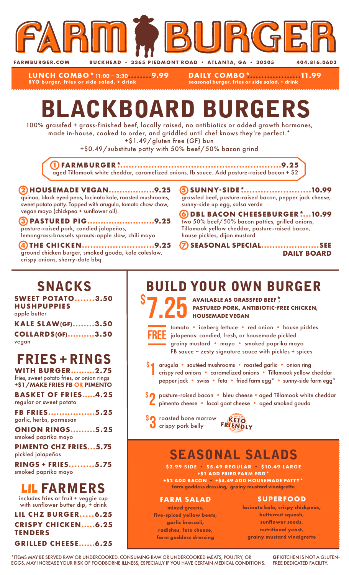

**LUNCH COMBO\***11:00 – 3:30**........9.99 BYO burger, fries or side salad, + drink**

**DAILY COMBO\*...................11.99 seasonal burger, fries or side salad, + drink**

# BLACKBOARD BURGERS

100% grassfed + grass-finished beef, locally raised, no antibiotics or added growth hormones, made in-house, cooked to order, and griddled until chef knows they're perfect.\*

+\$1.49/gluten free (GF) bun

+\$0.49/substitute patty with 50% beef/50% bacon grind

**1 FARMBURGER\*..........................................................9.25** aged Tillamook white cheddar, caramelized onions, fb sauce. Add pasture-raised bacon + \$2

#### **2 HOUSEMADE VEGAN.................9.25** quinoa, black eyed peas, lacinato kale, roasted mushrooms, sweet potato patty. Topped with arugula, tomato chow chow, vegan mayo (chickpea + sunflower oil).

**3 PASTURED PIG.........................9.25** pasture-raised pork, candied jalapeños, lemongrass-brussels sprouts-apple slaw, chili mayo

**4 THE CHICKEN..........................9.25** ground chicken burger, smoked gouda, kale coleslaw, crispy onions, sherry-date bbq

**5 SUNNY-SIDE\*.........................10.99** grassfed beef, pasture-raised bacon, pepper jack cheese, sunny-side up egg, salsa verde

- **6 DBL BACON CHEESEBURGER\*....10.99** two 50% beef/50% bacon patties, grilled onions, Tillamook yellow cheddar, pasture-raised bacon, house pickles, dijon mustard
- **7 SEASONAL SPECIAL.....................SEE DAILY BOARD**

## SNACKS

**SWEET POTATO.......3.50 HUSHPUPPIES** apple butter

| <b>KALE SLAW(GF)3.50</b> |  |
|--------------------------|--|
| <b>COLLARDS(GF)3.50</b>  |  |
| vegan                    |  |

# FRIES + RINGS

**WITH BURGER.........2.75** fries, sweet potato fries, or onion rings +\$1/MAKE FRIES FB OR PIMENTO

**BASKET OF FRIES.....4.25** regular or sweet potato

**FB FRIES.................5.25** garlic, herbs, parmesan

**ONION RINGS.........5.25** smoked paprika mayo

**PIMENTO CHZ FRIES...5.75** pickled jalapeños

**RINGS + FRIES.........5.75** smoked paprika mayo

### LIL FARMERS

includes fries or fruit + veggie cup with sunflower butter dip, + drink

**LIL CHZ BURGER.....6.25 CRISPY CHICKEN.....6.25 TENDERS GRILLED CHEESE......6.25**

## BUILD YOUR OWN BURGER

S 7.25 AVAILABLE AS GRASSFED BEEF<sup>\*</sup>, PASTURED PORK, ANTIBIOTIC-FI **PASTURED PORK, ANTIBIOTIC-FREE CHICKEN, HOUSEMADE VEGAN**



\$

tomato • iceberg lettuce • red onion • house pickles jalapenos: candied, fresh, or housemade pickled grainy mustard • mayo • smoked paprika mayo FB sauce  $\sim$  zesty signature sauce with pickles + spices

- arugula sautéed mushrooms roasted garlic onion ring crispy red onions • caramelized onions • Tillamook yellow cheddar pepper jack • swiss • feta • fried farm egg\* • sunny-side farm egg\* 1
- \$2 pasture-raised bacon bleu cheese aged Tillamook white cheddar<br>Pimento cheese local goat cheese aged smoked gouda pimento cheese • local goat cheese • aged smoked gouda
- **SO** roasted bone marrow **KETO**<br> **O** crispy pork belly FRIENDLY



# SEASONAL SALADS

**\$2.99 SIDE • \$5.49 REGULAR • \$10.49 LARGE +\$1 ADD FRIED FARM EGG\* +\$2 ADD BACON • +\$4.49 ADD HOUSEMADE PATTY\***

**farm goddess dressing, grainy mustard vinaigrette**

#### **FARM SALAD**

**mixed greens, five-spiced yellow beets, garlic broccoli, radishes, feta cheese, farm goddess dressing**

#### **SUPERFOOD**

**lacinato kale, crispy chickpeas, butternut squash, sunflower seeds, nutritional yeast, grainy mustard vinaigrette**

\*ITEMS MAY BE SERVED RAW OR UNDERCOOKED. CONSUMING RAW OR UNDERCOOKED MEATS, POULTRY, OR EGGS, MAY INCREASE YOUR RISK OF FOODBORNE ILLNESS, ESPECIALLY IF YOU HAVE CERTAIN MEDICAL CONDITIONS.

GF KITCHEN IS NOT A GLUTEN-FREE DEDICATED FACILITY.